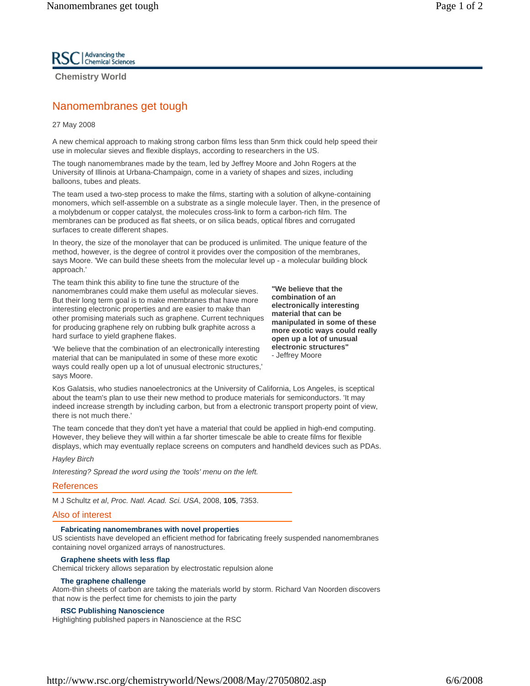**Chemistry World** 

# Nanomembranes get tough

27 May 2008

A new chemical approach to making strong carbon films less than 5nm thick could help speed their use in molecular sieves and flexible displays, according to researchers in the US.

The tough nanomembranes made by the team, led by Jeffrey Moore and John Rogers at the University of Illinois at Urbana-Champaign, come in a variety of shapes and sizes, including balloons, tubes and pleats.

The team used a two-step process to make the films, starting with a solution of alkyne-containing monomers, which self-assemble on a substrate as a single molecule layer. Then, in the presence of a molybdenum or copper catalyst, the molecules cross-link to form a carbon-rich film. The membranes can be produced as flat sheets, or on silica beads, optical fibres and corrugated surfaces to create different shapes.

In theory, the size of the monolayer that can be produced is unlimited. The unique feature of the method, however, is the degree of control it provides over the composition of the membranes, says Moore. 'We can build these sheets from the molecular level up - a molecular building block approach.'

The team think this ability to fine tune the structure of the nanomembranes could make them useful as molecular sieves. But their long term goal is to make membranes that have more interesting electronic properties and are easier to make than other promising materials such as graphene. Current techniques for producing graphene rely on rubbing bulk graphite across a hard surface to yield graphene flakes.

**"We believe that the combination of an electronically interesting material that can be manipulated in some of these more exotic ways could really open up a lot of unusual electronic structures"** - Jeffrey Moore

'We believe that the combination of an electronically interesting material that can be manipulated in some of these more exotic ways could really open up a lot of unusual electronic structures,' says Moore.

Kos Galatsis, who studies nanoelectronics at the University of California, Los Angeles, is sceptical about the team's plan to use their new method to produce materials for semiconductors. 'It may indeed increase strength by including carbon, but from a electronic transport property point of view, there is not much there.'

The team concede that they don't yet have a material that could be applied in high-end computing. However, they believe they will within a far shorter timescale be able to create films for flexible displays, which may eventually replace screens on computers and handheld devices such as PDAs.

#### *Hayley Birch*

*Interesting? Spread the word using the 'tools' menu on the left.*

#### References

M J Schultz *et al*, *Proc. Natl. Acad. Sci. USA*, 2008, **105**, 7353.

### Also of interest

#### **Fabricating nanomembranes with novel properties**

US scientists have developed an efficient method for fabricating freely suspended nanomembranes containing novel organized arrays of nanostructures.

#### **Graphene sheets with less flap**

Chemical trickery allows separation by electrostatic repulsion alone

#### **The graphene challenge**

Atom-thin sheets of carbon are taking the materials world by storm. Richard Van Noorden discovers that now is the perfect time for chemists to join the party

#### **RSC Publishing Nanoscience**

Highlighting published papers in Nanoscience at the RSC